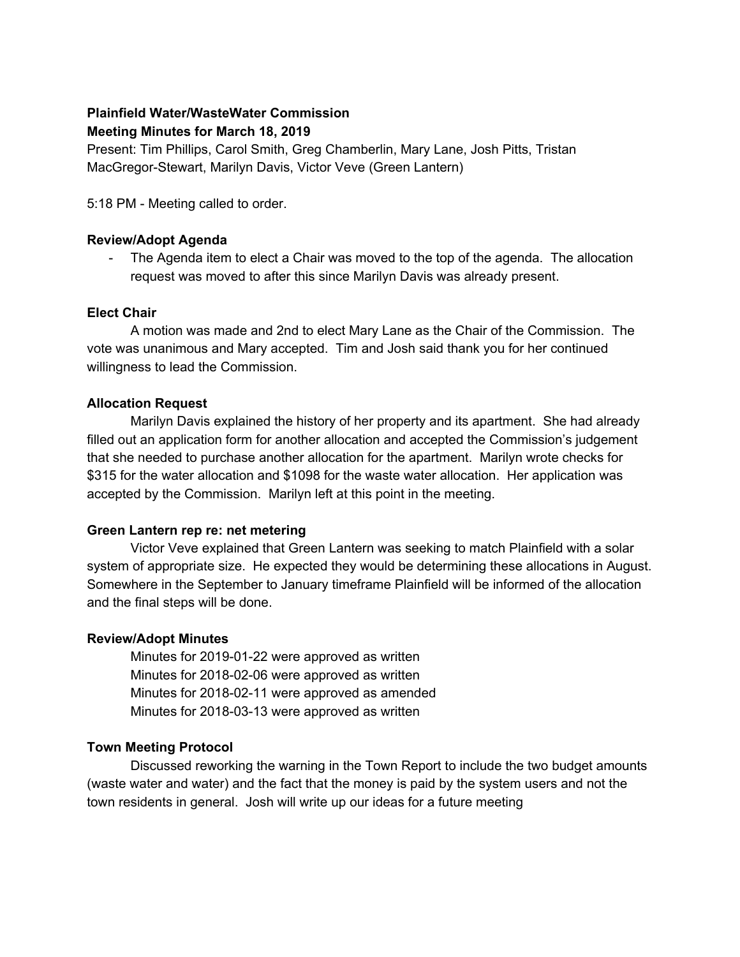# **Plainfield Water/WasteWater Commission Meeting Minutes for March 18, 2019**

Present: Tim Phillips, Carol Smith, Greg Chamberlin, Mary Lane, Josh Pitts, Tristan MacGregor-Stewart, Marilyn Davis, Victor Veve (Green Lantern)

5:18 PM - Meeting called to order.

# **Review/Adopt Agenda**

- The Agenda item to elect a Chair was moved to the top of the agenda. The allocation request was moved to after this since Marilyn Davis was already present.

# **Elect Chair**

A motion was made and 2nd to elect Mary Lane as the Chair of the Commission. The vote was unanimous and Mary accepted. Tim and Josh said thank you for her continued willingness to lead the Commission.

# **Allocation Request**

Marilyn Davis explained the history of her property and its apartment. She had already filled out an application form for another allocation and accepted the Commission's judgement that she needed to purchase another allocation for the apartment. Marilyn wrote checks for \$315 for the water allocation and \$1098 for the waste water allocation. Her application was accepted by the Commission. Marilyn left at this point in the meeting.

# **Green Lantern rep re: net metering**

Victor Veve explained that Green Lantern was seeking to match Plainfield with a solar system of appropriate size. He expected they would be determining these allocations in August. Somewhere in the September to January timeframe Plainfield will be informed of the allocation and the final steps will be done.

## **Review/Adopt Minutes**

Minutes for 2019-01-22 were approved as written Minutes for 2018-02-06 were approved as written Minutes for 2018-02-11 were approved as amended Minutes for 2018-03-13 were approved as written

# **Town Meeting Protocol**

Discussed reworking the warning in the Town Report to include the two budget amounts (waste water and water) and the fact that the money is paid by the system users and not the town residents in general. Josh will write up our ideas for a future meeting